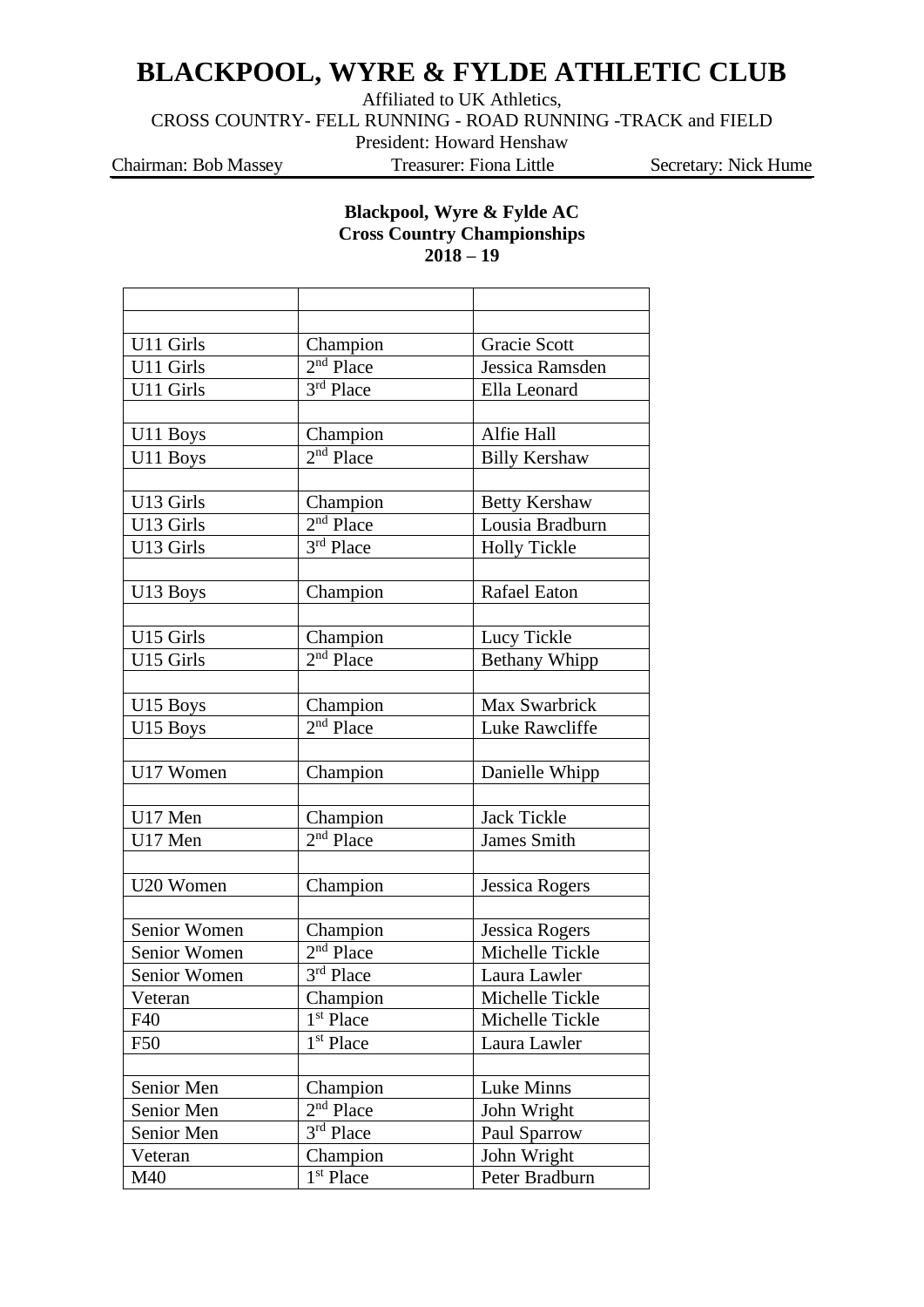## **BLACKPOOL, WYRE & FYLDE ATHLETIC CLUB**

Affiliated to UK Athletics,

CROSS COUNTRY- FELL RUNNING - ROAD RUNNING -TRACK and FIELD

President: Howard Henshaw

Chairman: Bob Massey Treasurer: Fiona Little Secretary: Nick Hume

## **Blackpool, Wyre & Fylde AC Cross Country Championships 2018 – 19**

| U11 Girls    | Champion              | Gracie Scott          |
|--------------|-----------------------|-----------------------|
| U11 Girls    | $2nd$ Place           | Jessica Ramsden       |
| U11 Girls    | 3rd Place             | Ella Leonard          |
|              |                       |                       |
| U11 Boys     | Champion              | Alfie Hall            |
| U11 Boys     | $2nd$ Place           | <b>Billy Kershaw</b>  |
|              |                       |                       |
| U13 Girls    | Champion              | <b>Betty Kershaw</b>  |
| U13 Girls    | $2nd$ Place           | Lousia Bradburn       |
| U13 Girls    | 3rd Place             | <b>Holly Tickle</b>   |
|              |                       |                       |
| U13 Boys     | Champion              | <b>Rafael Eaton</b>   |
|              |                       |                       |
| U15 Girls    | Champion              | Lucy Tickle           |
| U15 Girls    | 2 <sup>nd</sup> Place | Bethany Whipp         |
|              |                       |                       |
| U15 Boys     | Champion              | Max Swarbrick         |
| U15 Boys     | $2nd$ Place           | Luke Rawcliffe        |
|              |                       |                       |
| U17 Women    | Champion              | Danielle Whipp        |
|              |                       |                       |
| U17 Men      | Champion              | Jack Tickle           |
| U17 Men      | $2nd$ Place           | <b>James Smith</b>    |
|              |                       |                       |
| U20 Women    | Champion              | <b>Jessica Rogers</b> |
|              |                       |                       |
| Senior Women | Champion              | Jessica Rogers        |
| Senior Women | 2 <sup>nd</sup> Place | Michelle Tickle       |
| Senior Women | $3rd$ Place           | Laura Lawler          |
| Veteran      | Champion              | Michelle Tickle       |
| F40          | 1 <sup>st</sup> Place | Michelle Tickle       |
| F50          | 1 <sup>st</sup> Place | Laura Lawler          |
|              |                       |                       |
| Senior Men   | Champion              | Luke Minns            |
| Senior Men   | $2nd$ Place           | John Wright           |
| Senior Men   | 3rd Place             | Paul Sparrow          |
| Veteran      | Champion              | John Wright           |
| M40          | 1 <sup>st</sup> Place | Peter Bradburn        |